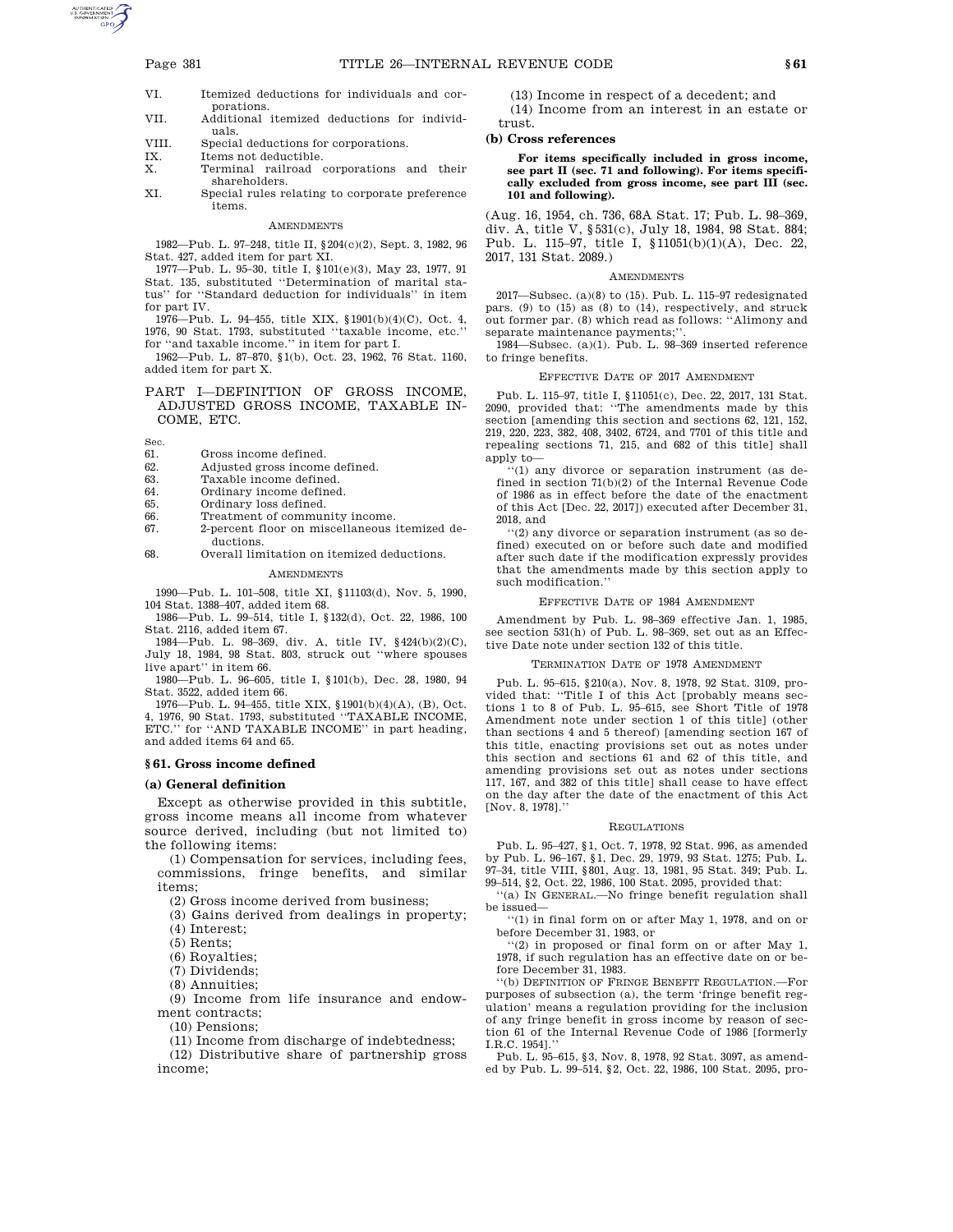- VI. Itemized deductions for individuals and corporations.
- VII. Additional itemized deductions for individuals.
- VIII. Special deductions for corporations.<br>IX. Items not deductible.
- IX. Items not deductible.<br>X. Terminal railroad
- X. Terminal railroad corporations and their shareholders.
- XI. Special rules relating to corporate preference items.

### AMENDMENTS

1982—Pub. L. 97–248, title II, §204(c)(2), Sept. 3, 1982, 96 Stat. 427, added item for part XI.

1977—Pub. L. 95–30, title I, §101(e)(3), May 23, 1977, 91 Stat. 135, substituted ''Determination of marital status'' for ''Standard deduction for individuals'' in item for part IV.

1976—Pub. L. 94–455, title XIX, §1901(b)(4)(C), Oct. 4, 1976, 90 Stat. 1793, substituted ''taxable income, etc.'' for ''and taxable income.'' in item for part I.

1962—Pub. L. 87–870, §1(b), Oct. 23, 1962, 76 Stat. 1160, added item for part X.

# PART I—DEFINITION OF GROSS INCOME, ADJUSTED GROSS INCOME, TAXABLE IN-COME, ETC.

Sec.

- 61. Gross income defined.
- 62. Adjusted gross income defined.
- Taxable income defined.
- 64. Ordinary income defined.<br>65. Ordinary loss defined.
- 65. Ordinary loss defined.<br>66. Treatment of commun
- Treatment of community income.
- 67. 2-percent floor on miscellaneous itemized deductions.
- 68. Overall limitation on itemized deductions. **AMENDMENTS**

1990—Pub. L. 101–508, title XI, §11103(d), Nov. 5, 1990, 104 Stat. 1388–407, added item 68.

1986—Pub. L. 99–514, title I, §132(d), Oct. 22, 1986, 100 Stat. 2116, added item 67.

1984—Pub. L. 98–369, div. A, title IV, §424(b)(2)(C), July 18, 1984, 98 Stat. 803, struck out ''where spouses live apart'' in item 66.

1980—Pub. L. 96–605, title I, §101(b), Dec. 28, 1980, 94 Stat. 3522, added item 66.

1976—Pub. L. 94–455, title XIX, §1901(b)(4)(A), (B), Oct. 4, 1976, 90 Stat. 1793, substituted ''TAXABLE INCOME, ETC.'' for ''AND TAXABLE INCOME'' in part heading, and added items 64 and 65.

## **§ 61. Gross income defined**

# **(a) General definition**

Except as otherwise provided in this subtitle, gross income means all income from whatever source derived, including (but not limited to) the following items:

(1) Compensation for services, including fees, commissions, fringe benefits, and similar items;

(2) Gross income derived from business;

(3) Gains derived from dealings in property;

(4) Interest;

(5) Rents;

(6) Royalties;

(7) Dividends;

(8) Annuities;

(9) Income from life insurance and endowment contracts;

(10) Pensions;

(11) Income from discharge of indebtedness;

(12) Distributive share of partnership gross income;

(13) Income in respect of a decedent; and (14) Income from an interest in an estate or trust.

### **(b) Cross references**

**For items specifically included in gross income, see part II (sec. 71 and following). For items specifically excluded from gross income, see part III (sec. 101 and following).** 

(Aug. 16, 1954, ch. 736, 68A Stat. 17; Pub. L. 98–369, div. A, title V, §531(c), July 18, 1984, 98 Stat. 884; Pub. L. 115–97, title I, §11051(b)(1)(A), Dec. 22, 2017, 131 Stat. 2089.)

#### **AMENDMENTS**

2017—Subsec. (a)(8) to (15). Pub. L. 115–97 redesignated pars. (9) to (15) as (8) to (14), respectively, and struck out former par. (8) which read as follows: ''Alimony and separate maintenance payments;''.

1984—Subsec. (a)(1). Pub. L. 98–369 inserted reference to fringe benefits.

## EFFECTIVE DATE OF 2017 AMENDMENT

Pub. L. 115–97, title I, §11051(c), Dec. 22, 2017, 131 Stat. 2090, provided that: ''The amendments made by this section [amending this section and sections 62, 121, 152, 219, 220, 223, 382, 408, 3402, 6724, and 7701 of this title and repealing sections 71, 215, and 682 of this title] shall apply to—

''(1) any divorce or separation instrument (as defined in section 71(b)(2) of the Internal Revenue Code of 1986 as in effect before the date of the enactment of this Act [Dec. 22, 2017]) executed after December 31, 2018, and

''(2) any divorce or separation instrument (as so defined) executed on or before such date and modified after such date if the modification expressly provides that the amendments made by this section apply to such modification.''

### EFFECTIVE DATE OF 1984 AMENDMENT

Amendment by Pub. L. 98–369 effective Jan. 1, 1985, see section 531(h) of Pub. L. 98–369, set out as an Effective Date note under section 132 of this title.

### ERMINATION DATE OF 1978 AMENDMENT

Pub. L. 95–615, §210(a), Nov. 8, 1978, 92 Stat. 3109, provided that: ''Title I of this Act [probably means sections 1 to 8 of Pub. L. 95–615, see Short Title of 1978 Amendment note under section 1 of this title] (other than sections 4 and 5 thereof) [amending section 167 of this title, enacting provisions set out as notes under this section and sections 61 and 62 of this title, and amending provisions set out as notes under sections 117, 167, and 382 of this title] shall cease to have effect on the day after the date of the enactment of this Act [Nov. 8, 1978].''

#### REGULATIONS

Pub. L. 95–427, §1, Oct. 7, 1978, 92 Stat. 996, as amended by Pub. L. 96–167, §1, Dec. 29, 1979, 93 Stat. 1275; Pub. L. 97–34, title VIII, §801, Aug. 13, 1981, 95 Stat. 349; Pub. L. 99–514, §2, Oct. 22, 1986, 100 Stat. 2095, provided that:

''(a) IN GENERAL.—No fringe benefit regulation shall be issued—

''(1) in final form on or after May 1, 1978, and on or before December 31, 1983, or

''(2) in proposed or final form on or after May 1, 1978, if such regulation has an effective date on or before December 31, 1983.

''(b) DEFINITION OF FRINGE BENEFIT REGULATION.—For purposes of subsection (a), the term 'fringe benefit regulation' means a regulation providing for the inclusion of any fringe benefit in gross income by reason of section 61 of the Internal Revenue Code of 1986 [formerly I.R.C. 1954].

Pub. L. 95–615, §3, Nov. 8, 1978, 92 Stat. 3097, as amended by Pub. L. 99–514, §2, Oct. 22, 1986, 100 Stat. 2095, pro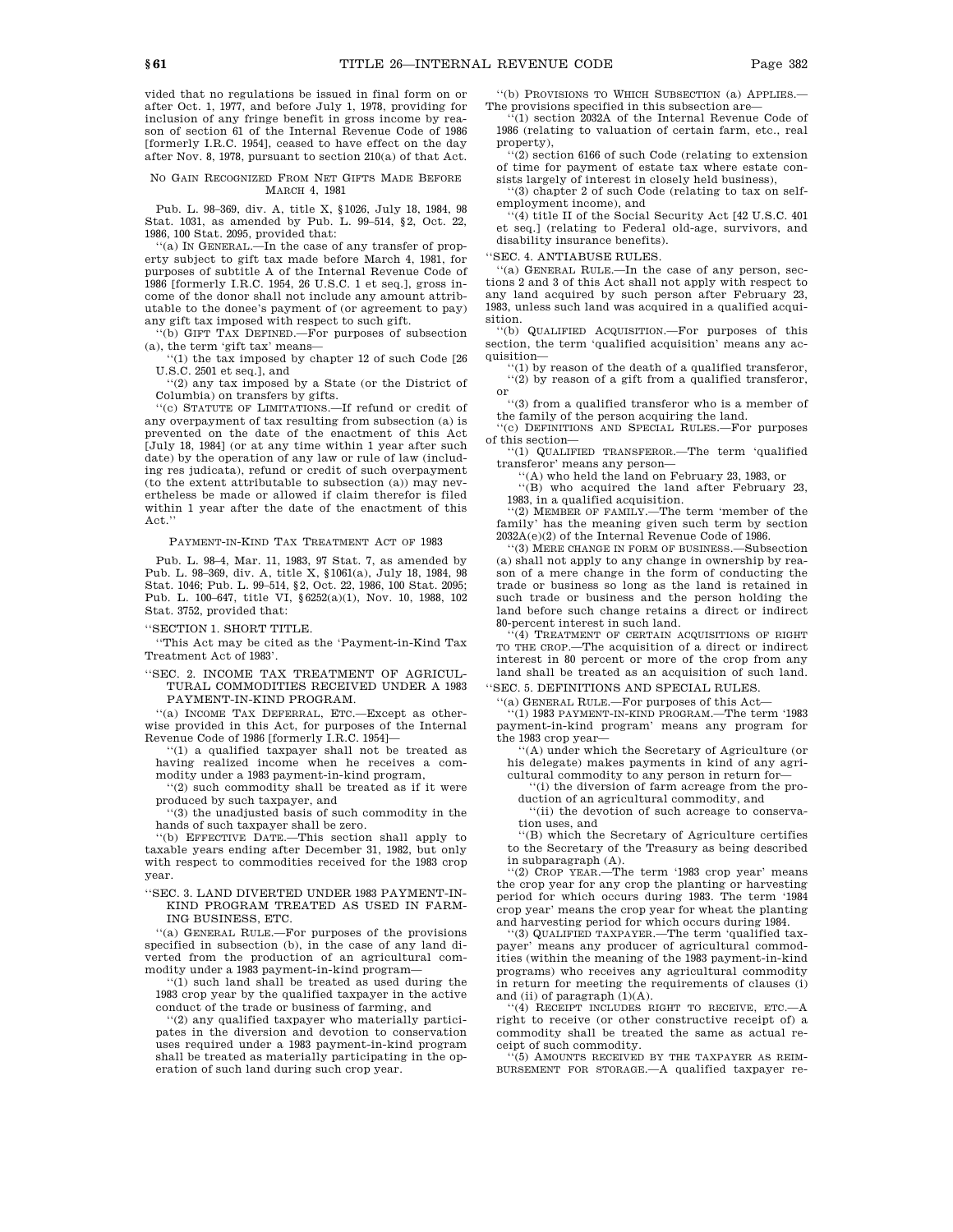vided that no regulations be issued in final form on or after Oct. 1, 1977, and before July 1, 1978, providing for inclusion of any fringe benefit in gross income by reason of section 61 of the Internal Revenue Code of 1986 [formerly I.R.C. 1954], ceased to have effect on the day after Nov. 8, 1978, pursuant to section 210(a) of that Act.

# NO GAIN RECOGNIZED FROM NET GIFTS MADE BEFORE MARCH 4, 1981

Pub. L. 98–369, div. A, title X, §1026, July 18, 1984, 98 Stat. 1031, as amended by Pub. L. 99–514, §2, Oct. 22, 1986, 100 Stat. 2095, provided that:

''(a) IN GENERAL.—In the case of any transfer of prop-erty subject to gift tax made before March 4, 1981, for purposes of subtitle A of the Internal Revenue Code of 1986 [formerly I.R.C. 1954, 26 U.S.C. 1 et seq.], gross income of the donor shall not include any amount attributable to the donee's payment of (or agreement to pay) any gift tax imposed with respect to such gift.

(b) GIFT TAX DEFINED.—For purposes of subsection (a), the term 'gift tax' means—

''(1) the tax imposed by chapter 12 of such Code [26 U.S.C. 2501 et seq.], and

''(2) any tax imposed by a State (or the District of Columbia) on transfers by gifts.

'(c) STATUTE OF LIMITATIONS —If refund or credit of any overpayment of tax resulting from subsection (a) is prevented on the date of the enactment of this Act [July 18, 1984] (or at any time within 1 year after such date) by the operation of any law or rule of law (including res judicata), refund or credit of such overpayment (to the extent attributable to subsection (a)) may nevertheless be made or allowed if claim therefor is filed within 1 year after the date of the enactment of this Act.''

PAYMENT-IN-KIND TAX TREATMENT ACT OF 1983

Pub. L. 98–4, Mar. 11, 1983, 97 Stat. 7, as amended by Pub. L. 98–369, div. A, title X, §1061(a), July 18, 1984, 98 Stat. 1046; Pub. L. 99–514, §2, Oct. 22, 1986, 100 Stat. 2095; Pub. L. 100–647, title VI, §6252(a)(1), Nov. 10, 1988, 102 Stat. 3752, provided that:

''SECTION 1. SHORT TITLE.

''This Act may be cited as the 'Payment-in-Kind Tax Treatment Act of 1983'.

''SEC. 2. INCOME TAX TREATMENT OF AGRICUL-TURAL COMMODITIES RECEIVED UNDER A 1983 PAYMENT-IN-KIND PROGRAM.

''(a) INCOME TAX DEFERRAL, ETC.—Except as otherwise provided in this Act, for purposes of the Internal Revenue Code of 1986 [formerly I.R.C. 1954]—

''(1) a qualified taxpayer shall not be treated as having realized income when he receives a commodity under a 1983 payment-in-kind program,

''(2) such commodity shall be treated as if it were produced by such taxpayer, and

''(3) the unadjusted basis of such commodity in the hands of such taxpayer shall be zero.

''(b) EFFECTIVE DATE.—This section shall apply to taxable years ending after December 31, 1982, but only with respect to commodities received for the 1983 crop year.

''SEC. 3. LAND DIVERTED UNDER 1983 PAYMENT-IN-KIND PROGRAM TREATED AS USED IN FARM-ING BUSINESS, ETC.

''(a) GENERAL RULE.—For purposes of the provisions specified in subsection (b), in the case of any land diverted from the production of an agricultural commodity under a 1983 payment-in-kind program—

''(1) such land shall be treated as used during the 1983 crop year by the qualified taxpayer in the active conduct of the trade or business of farming, and

''(2) any qualified taxpayer who materially participates in the diversion and devotion to conservation uses required under a 1983 payment-in-kind program shall be treated as materially participating in the operation of such land during such crop year.

''(b) PROVISIONS TO WHICH SUBSECTION (a) APPLIES.— The provisions specified in this subsection are—

 $(1)$  section 2032A of the Internal Revenue Code of 1986 (relating to valuation of certain farm, etc., real property),

''(2) section 6166 of such Code (relating to extension of time for payment of estate tax where estate con-

sists largely of interest in closely held business), ''(3) chapter 2 of such Code (relating to tax on selfemployment income), and

 $(4)$  title II of the Social Security Act [42 U.S.C. 401] et seq.] (relating to Federal old-age, survivors, and disability insurance benefits).

'SEC. 4. ANTIABUSE RULES.

''(a) GENERAL RULE.—In the case of any person, sections 2 and 3 of this Act shall not apply with respect to any land acquired by such person after February 23, 1983, unless such land was acquired in a qualified acquisition.

''(b) QUALIFIED ACQUISITION.—For purposes of this section, the term 'qualified acquisition' means any acquisition—

''(1) by reason of the death of a qualified transferor, ''(2) by reason of a gift from a qualified transferor, or

''(3) from a qualified transferor who is a member of the family of the person acquiring the land.

'(c) DEFINITIONS AND SPECIAL RULES.—For purposes of this section—

''(1) QUALIFIED TRANSFEROR.—The term 'qualified transferor' means any person—

''(A) who held the land on February 23, 1983, or

''(B) who acquired the land after February 23, 1983, in a qualified acquisition.

''(2) MEMBER OF FAMILY.—The term 'member of the family' has the meaning given such term by section 2032A(e)(2) of the Internal Revenue Code of 1986.

''(3) MERE CHANGE IN FORM OF BUSINESS.—Subsection (a) shall not apply to any change in ownership by reason of a mere change in the form of conducting the trade or business so long as the land is retained in such trade or business and the person holding the land before such change retains a direct or indirect 80-percent interest in such land.

'(4) TREATMENT OF CERTAIN ACQUISITIONS OF RIGHT TO THE CROP.—The acquisition of a direct or indirect interest in 80 percent or more of the crop from any land shall be treated as an acquisition of such land.

''SEC. 5. DEFINITIONS AND SPECIAL RULES.

''(a) GENERAL RULE.—For purposes of this Act—

''(1) 1983 PAYMENT-IN-KIND PROGRAM.—The term '1983 payment-in-kind program' means any program for the 1983 crop year—

''(A) under which the Secretary of Agriculture (or his delegate) makes payments in kind of any agricultural commodity to any person in return for—

''(i) the diversion of farm acreage from the pro-

duction of an agricultural commodity, and ''(ii) the devotion of such acreage to conserva-

tion uses, and ''(B) which the Secretary of Agriculture certifies

to the Secretary of the Treasury as being described in subparagraph (A).

'(2) CROP YEAR.—The term '1983 crop year' means the crop year for any crop the planting or harvesting period for which occurs during 1983. The term '1984 crop year' means the crop year for wheat the planting and harvesting period for which occurs during 1984.

''(3) QUALIFIED TAXPAYER.—The term 'qualified taxpayer' means any producer of agricultural commodities (within the meaning of the 1983 payment-in-kind programs) who receives any agricultural commodity in return for meeting the requirements of clauses (i) and (ii) of paragraph  $(1)(A)$ .

''(4) RECEIPT INCLUDES RIGHT TO RECEIVE, ETC.—A right to receive (or other constructive receipt of) a commodity shall be treated the same as actual receipt of such commodity.

''(5) AMOUNTS RECEIVED BY THE TAXPAYER AS REIM-BURSEMENT FOR STORAGE.—A qualified taxpayer re